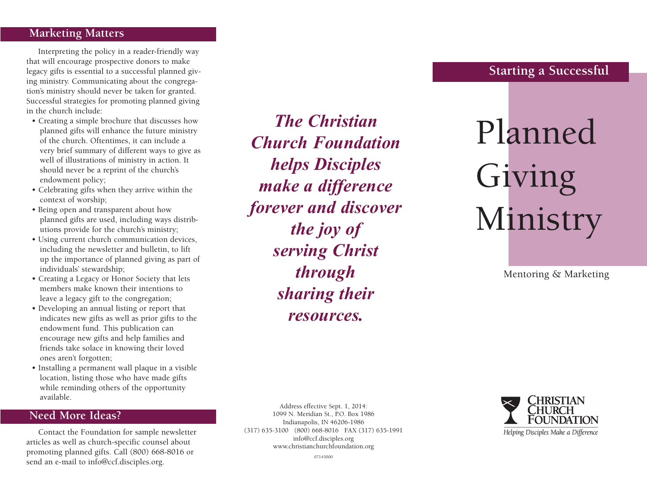#### **Marketing Matters**

Interpreting the policy in a reader-friendly way that will encourage prospective donors to make legacy gifts is essential to a successful planned giving ministry. Communicating about the congregation's ministry should never be taken for granted. Successful strategies for promoting planned giving in the church include:

- Creating a simple brochure that discusses how planned gifts will enhance the future ministry of the church. Oftentimes, it can include a very brief summary of different ways to give as well of illustrations of ministry in action. It should never be a reprint of the church's endowment policy;
- Celebrating gifts when they arrive within the context of worship;
- Being open and transparent about how planned gifts are used, including ways distributions provide for the church's ministry;
- Using current church communication devices, including the newsletter and bulletin, to lift up the importance of planned giving as part of individuals' stewardship;
- Creating a Legacy or Honor Society that lets members make known their intentions to leave a legacy gift to the congregation;
- Developing an annual listing or report that indicates new gifts as well as prior gifts to the endowment fund. This publication can encourage new gifts and help families and friends take solace in knowing their loved ones aren't forgotten;
- Installing a permanent wall plaque in a visible location, listing those who have made gifts while reminding others of the opportunity available.

## **Need More Ideas?**

Contact the Foundation for sample newsletter articles as well as church-specific counsel about promoting planned gifts. Call (800) 668-8016 or send an e-mail to info@ccf.disciples.org.

*The Christian Church Foundation helps Disciples make a difference forever and discover the joy of serving Christ through sharing their resources.*

**Starting a Successful**

# Planned Giving Ministry

Mentoring & Marketing

Address effective Sept. 1, 2014: 1099 N. Meridian St., P.O. Box 1986 Indianapolis, IN 46206-1986 (317) 635-3100 (800) 668-8016 FAX (317) 635-1991 info@ccf.disciples.org www.christianchurchfoundation.org



07143000